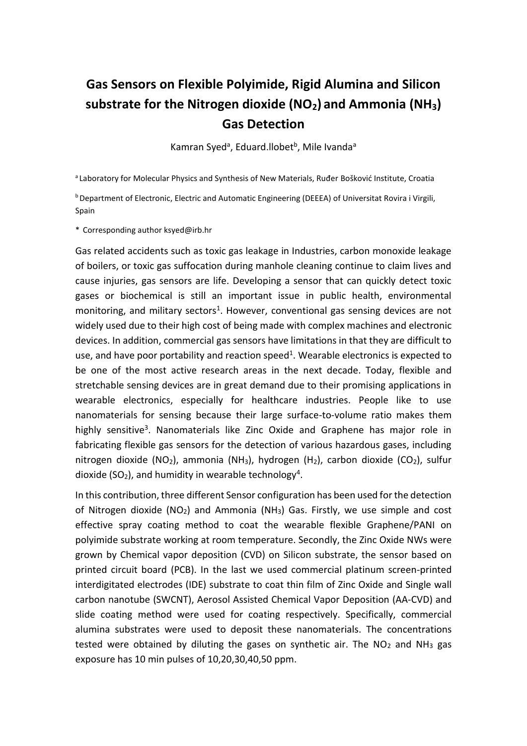## **Gas Sensors on Flexible Polyimide, Rigid Alumina and Silicon substrate for the Nitrogen dioxide (NO2) and Ammonia (NH3) Gas Detection**

Kamran Syed<sup>a</sup>, Eduard.llobet<sup>b</sup>, Mile Ivanda<sup>a</sup>

a Laboratory for Molecular Physics and Synthesis of New Materials, Ruđer Bošković Institute, Croatia

**b** Department of Electronic, Electric and Automatic Engineering (DEEEA) of Universitat Rovira i Virgili, Spain

\* Corresponding author ksyed@irb.hr

Gas related accidents such as toxic gas leakage in Industries, carbon monoxide leakage of boilers, or toxic gas suffocation during manhole cleaning continue to claim lives and cause injuries, gas sensors are life. Developing a sensor that can quickly detect toxic gases or biochemical is still an important issue in public health, environmental monitoring, and military sectors<sup>1</sup>. However, conventional gas sensing devices are not widely used due to their high cost of being made with complex machines and electronic devices. In addition, commercial gas sensors have limitations in that they are difficult to use, and have poor portability and reaction speed<sup>1</sup>. Wearable electronics is expected to be one of the most active research areas in the next decade. Today, flexible and stretchable sensing devices are in great demand due to their promising applications in wearable electronics, especially for healthcare industries. People like to use nanomaterials for sensing because their large surface-to-volume ratio makes them highly sensitive<sup>3</sup>. Nanomaterials like Zinc Oxide and Graphene has major role in fabricating flexible gas sensors for the detection of various hazardous gases, including nitrogen dioxide (NO<sub>2</sub>), ammonia (NH<sub>3</sub>), hydrogen (H<sub>2</sub>), carbon dioxide (CO<sub>2</sub>), sulfur dioxide (SO<sub>2</sub>), and humidity in wearable technology<sup>4</sup>.

In this contribution, three different Sensor configuration has been used for the detection of Nitrogen dioxide (NO<sub>2</sub>) and Ammonia (NH<sub>3</sub>) Gas. Firstly, we use simple and cost effective spray coating method to coat the wearable flexible Graphene/PANI on polyimide substrate working at room temperature. Secondly, the Zinc Oxide NWs were grown by Chemical vapor deposition (CVD) on Silicon substrate, the sensor based on printed circuit board (PCB). In the last we used commercial platinum screen-printed interdigitated electrodes (IDE) substrate to coat thin film of Zinc Oxide and Single wall carbon nanotube (SWCNT), Aerosol Assisted Chemical Vapor Deposition (AA-CVD) and slide coating method were used for coating respectively. Specifically, commercial alumina substrates were used to deposit these nanomaterials. The concentrations tested were obtained by diluting the gases on synthetic air. The  $NO<sub>2</sub>$  and  $NH<sub>3</sub>$  gas exposure has 10 min pulses of 10,20,30,40,50 ppm.